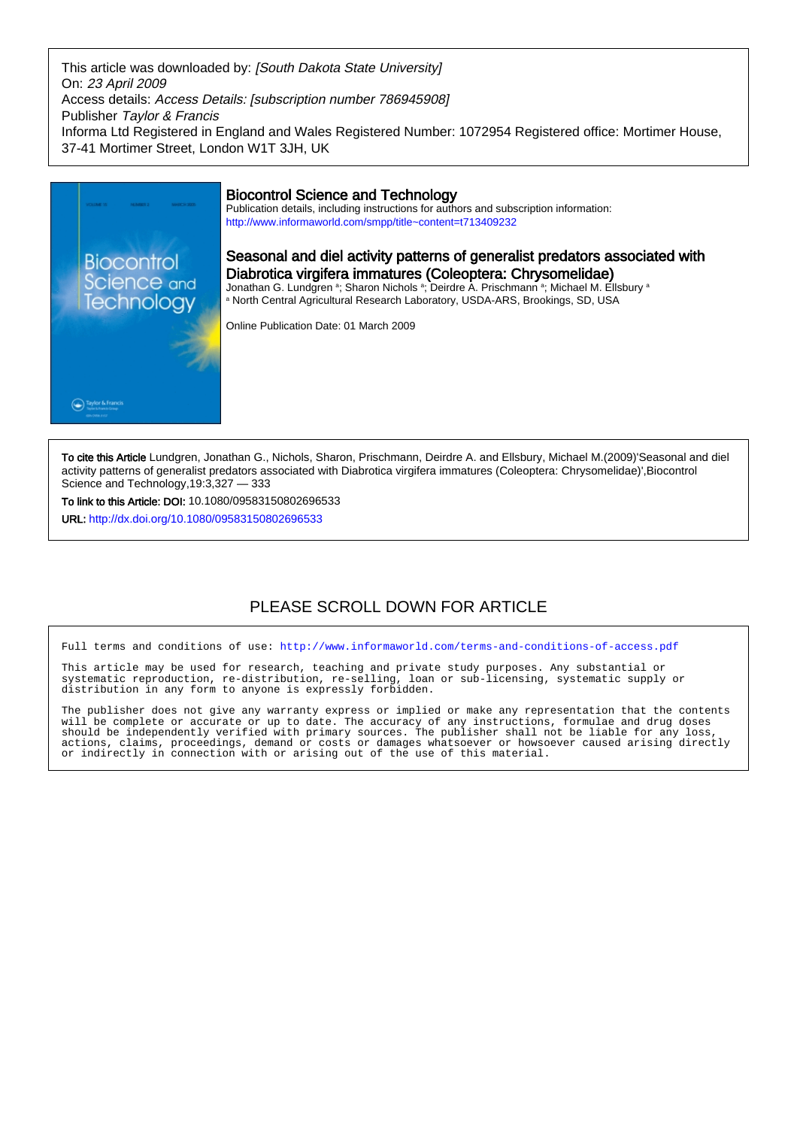This article was downloaded by: [South Dakota State University] On: 23 April 2009 Access details: Access Details: [subscription number 786945908] Publisher Taylor & Francis Informa Ltd Registered in England and Wales Registered Number: 1072954 Registered office: Mortimer House, 37-41 Mortimer Street, London W1T 3JH, UK



To cite this Article Lundgren, Jonathan G., Nichols, Sharon, Prischmann, Deirdre A. and Ellsbury, Michael M.(2009)'Seasonal and diel activity patterns of generalist predators associated with Diabrotica virgifera immatures (Coleoptera: Chrysomelidae)',Biocontrol Science and Technology,19:3,327 — 333

To link to this Article: DOI: 10.1080/09583150802696533

URL: <http://dx.doi.org/10.1080/09583150802696533>

# PLEASE SCROLL DOWN FOR ARTICLE

Full terms and conditions of use:<http://www.informaworld.com/terms-and-conditions-of-access.pdf>

This article may be used for research, teaching and private study purposes. Any substantial or systematic reproduction, re-distribution, re-selling, loan or sub-licensing, systematic supply or distribution in any form to anyone is expressly forbidden.

The publisher does not give any warranty express or implied or make any representation that the contents will be complete or accurate or up to date. The accuracy of any instructions, formulae and drug doses should be independently verified with primary sources. The publisher shall not be liable for any loss, actions, claims, proceedings, demand or costs or damages whatsoever or howsoever caused arising directly or indirectly in connection with or arising out of the use of this material.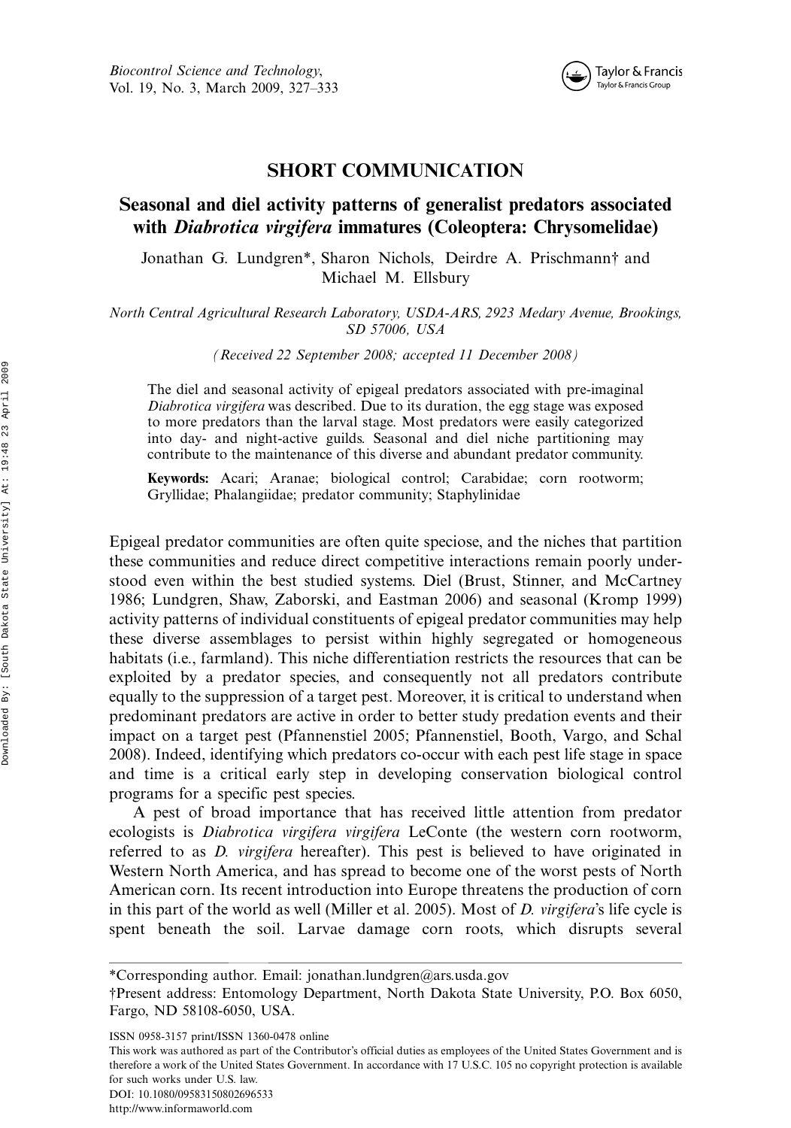

### SHORT COMMUNICATION

## Seasonal and diel activity patterns of generalist predators associated with Diabrotica virgifera immatures (Coleoptera: Chrysomelidae)

Jonathan G. Lundgren\*, Sharon Nichols, Deirdre A. Prischmann† and Michael M. Ellsbury

North Central Agricultural Research Laboratory, USDA-ARS, 2923 Medary Avenue, Brookings, SD 57006, USA

(Received 22 September 2008; accepted 11 December 2008)

The diel and seasonal activity of epigeal predators associated with pre-imaginal Diabrotica virgifera was described. Due to its duration, the egg stage was exposed to more predators than the larval stage. Most predators were easily categorized into day- and night-active guilds. Seasonal and diel niche partitioning may contribute to the maintenance of this diverse and abundant predator community.

Keywords: Acari; Aranae; biological control; Carabidae; corn rootworm; Gryllidae; Phalangiidae; predator community; Staphylinidae

Epigeal predator communities are often quite speciose, and the niches that partition these communities and reduce direct competitive interactions remain poorly understood even within the best studied systems. Diel (Brust, Stinner, and McCartney 1986; Lundgren, Shaw, Zaborski, and Eastman 2006) and seasonal (Kromp 1999) activity patterns of individual constituents of epigeal predator communities may help these diverse assemblages to persist within highly segregated or homogeneous habitats (i.e., farmland). This niche differentiation restricts the resources that can be exploited by a predator species, and consequently not all predators contribute equally to the suppression of a target pest. Moreover, it is critical to understand when predominant predators are active in order to better study predation events and their impact on a target pest (Pfannenstiel 2005; Pfannenstiel, Booth, Vargo, and Schal 2008). Indeed, identifying which predators co-occur with each pest life stage in space and time is a critical early step in developing conservation biological control programs for a specific pest species.

A pest of broad importance that has received little attention from predator ecologists is Diabrotica virgifera virgifera LeConte (the western corn rootworm, referred to as D. virgifera hereafter). This pest is believed to have originated in Western North America, and has spread to become one of the worst pests of North American corn. Its recent introduction into Europe threatens the production of corn in this part of the world as well (Miller et al. 2005). Most of D. virgifera's life cycle is spent beneath the soil. Larvae damage corn roots, which disrupts several

This work was authored as part of the Contributor's official duties as employees of the United States Government and is therefore a work of the United States Government. In accordance with 17 U.S.C. 105 no copyright protection is available for such works under U.S. law.

DOI: 10.1080/09583150802696533

<sup>\*</sup>Corresponding author. Email: jonathan.lundgren@ars.usda.gov

<sup>\$</sup>Present address: Entomology Department, North Dakota State University, P.O. Box 6050, Fargo, ND 58108-6050, USA.

ISSN 0958-3157 print/ISSN 1360-0478 online

<http://www.informaworld.com>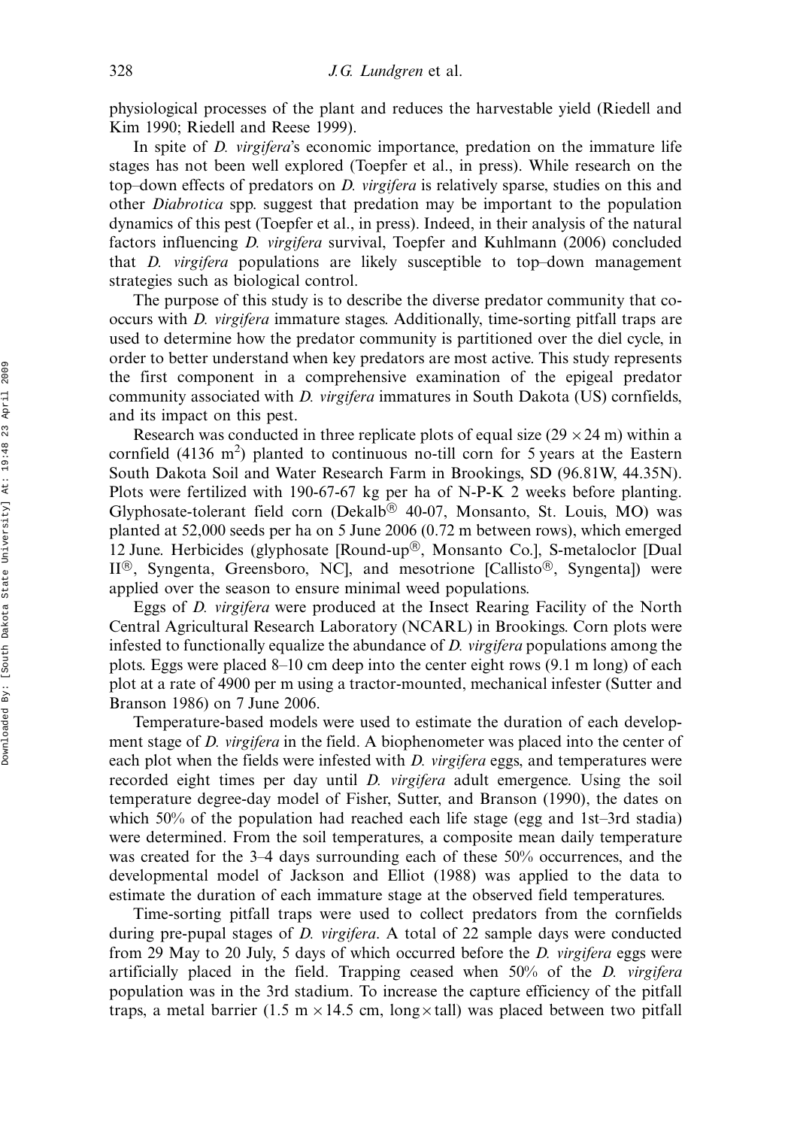physiological processes of the plant and reduces the harvestable yield (Riedell and Kim 1990; Riedell and Reese 1999).

In spite of *D. virgifera's* economic importance, predation on the immature life stages has not been well explored (Toepfer et al., in press). While research on the top-down effects of predators on *D. virgifera* is relatively sparse, studies on this and other Diabrotica spp. suggest that predation may be important to the population dynamics of this pest (Toepfer et al., in press). Indeed, in their analysis of the natural factors influencing D. virgifera survival, Toepfer and Kuhlmann (2006) concluded that *D. virgifera* populations are likely susceptible to top-down management strategies such as biological control.

The purpose of this study is to describe the diverse predator community that cooccurs with D. virgifera immature stages. Additionally, time-sorting pitfall traps are used to determine how the predator community is partitioned over the diel cycle, in order to better understand when key predators are most active. This study represents the first component in a comprehensive examination of the epigeal predator community associated with D. virgifera immatures in South Dakota (US) cornfields, and its impact on this pest.

Research was conducted in three replicate plots of equal size  $(29 \times 24 \text{ m})$  within a cornfield  $(4136 \text{ m}^2)$  planted to continuous no-till corn for 5 years at the Eastern South Dakota Soil and Water Research Farm in Brookings, SD (96.81W, 44.35N). Plots were fertilized with 190-67-67 kg per ha of N-P-K 2 weeks before planting. Glyphosate-tolerant field corn (Dekalb<sup>®</sup> 40-07, Monsanto, St. Louis, MO) was planted at 52,000 seeds per ha on 5 June 2006 (0.72 m between rows), which emerged 12 June. Herbicides (glyphosate [Round-up®, Monsanto Co.], S-metaloclor [Dual  $II^{(6)}$ , Syngenta, Greensboro, NC, and mesotrione [Callisto<sup>(6)</sup>, Syngenta]) were applied over the season to ensure minimal weed populations.

Eggs of D. virgifera were produced at the Insect Rearing Facility of the North Central Agricultural Research Laboratory (NCARL) in Brookings. Corn plots were infested to functionally equalize the abundance of D. virgifera populations among the plots. Eggs were placed 8-10 cm deep into the center eight rows (9.1 m long) of each plot at a rate of 4900 per m using a tractor-mounted, mechanical infester (Sutter and Branson 1986) on 7 June 2006.

Temperature-based models were used to estimate the duration of each development stage of D. *virgifera* in the field. A biophenometer was placed into the center of each plot when the fields were infested with *D. virgifera* eggs, and temperatures were recorded eight times per day until D. virgifera adult emergence. Using the soil temperature degree-day model of Fisher, Sutter, and Branson (1990), the dates on which 50% of the population had reached each life stage (egg and 1st-3rd stadia) were determined. From the soil temperatures, a composite mean daily temperature was created for the 3-4 days surrounding each of these 50% occurrences, and the developmental model of Jackson and Elliot (1988) was applied to the data to estimate the duration of each immature stage at the observed field temperatures.

Time-sorting pitfall traps were used to collect predators from the cornfields during pre-pupal stages of *D. virgifera*. A total of 22 sample days were conducted from 29 May to 20 July, 5 days of which occurred before the D. virgifera eggs were artificially placed in the field. Trapping ceased when  $50\%$  of the *D. virgifera* population was in the 3rd stadium. To increase the capture efficiency of the pitfall traps, a metal barrier (1.5 m  $\times$  14.5 cm, long  $\times$  tall) was placed between two pitfall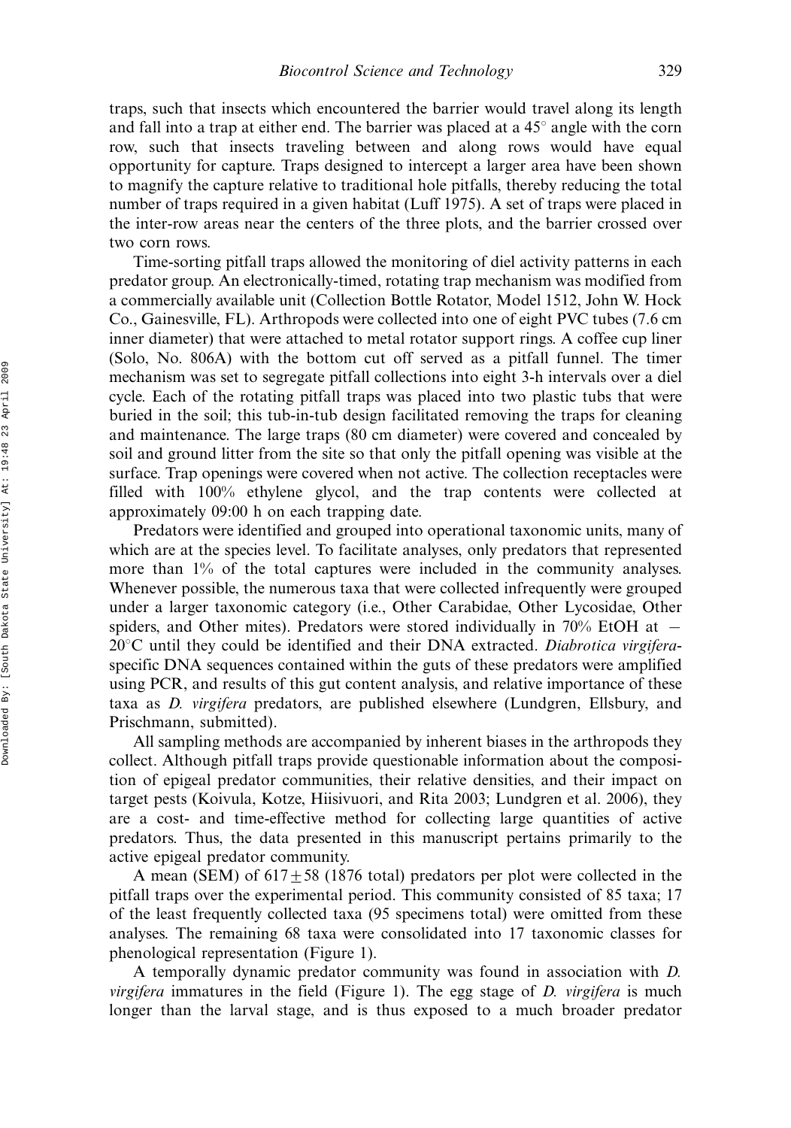traps, such that insects which encountered the barrier would travel along its length and fall into a trap at either end. The barrier was placed at a  $45^{\circ}$  angle with the corn row, such that insects traveling between and along rows would have equal opportunity for capture. Traps designed to intercept a larger area have been shown to magnify the capture relative to traditional hole pitfalls, thereby reducing the total number of traps required in a given habitat (Luff 1975). A set of traps were placed in the inter-row areas near the centers of the three plots, and the barrier crossed over two corn rows.

Time-sorting pitfall traps allowed the monitoring of diel activity patterns in each predator group. An electronically-timed, rotating trap mechanism was modified from a commercially available unit (Collection Bottle Rotator, Model 1512, John W. Hock Co., Gainesville, FL). Arthropods were collected into one of eight PVC tubes (7.6 cm inner diameter) that were attached to metal rotator support rings. A coffee cup liner (Solo, No. 806A) with the bottom cut off served as a pitfall funnel. The timer mechanism was set to segregate pitfall collections into eight 3-h intervals over a diel cycle. Each of the rotating pitfall traps was placed into two plastic tubs that were buried in the soil; this tub-in-tub design facilitated removing the traps for cleaning and maintenance. The large traps (80 cm diameter) were covered and concealed by soil and ground litter from the site so that only the pitfall opening was visible at the surface. Trap openings were covered when not active. The collection receptacles were filled with 100% ethylene glycol, and the trap contents were collected at approximately 09:00 h on each trapping date.

Predators were identified and grouped into operational taxonomic units, many of which are at the species level. To facilitate analyses, only predators that represented more than 1% of the total captures were included in the community analyses. Whenever possible, the numerous taxa that were collected infrequently were grouped under a larger taxonomic category (i.e., Other Carabidae, Other Lycosidae, Other spiders, and Other mites). Predators were stored individually in 70% EtOH at  $20^{\circ}$ C until they could be identified and their DNA extracted. Diabrotica virgiferaspecific DNA sequences contained within the guts of these predators were amplified using PCR, and results of this gut content analysis, and relative importance of these taxa as D. virgifera predators, are published elsewhere (Lundgren, Ellsbury, and Prischmann, submitted).

All sampling methods are accompanied by inherent biases in the arthropods they collect. Although pitfall traps provide questionable information about the composition of epigeal predator communities, their relative densities, and their impact on target pests (Koivula, Kotze, Hiisivuori, and Rita 2003; Lundgren et al. 2006), they are a cost- and time-effective method for collecting large quantities of active predators. Thus, the data presented in this manuscript pertains primarily to the active epigeal predator community.

A mean (SEM) of  $617 \pm 58$  (1876 total) predators per plot were collected in the pitfall traps over the experimental period. This community consisted of 85 taxa; 17 of the least frequently collected taxa (95 specimens total) were omitted from these analyses. The remaining 68 taxa were consolidated into 17 taxonomic classes for phenological representation (Figure 1).

A temporally dynamic predator community was found in association with D. *virgifera* immatures in the field (Figure 1). The egg stage of  $D$ . *virgifera* is much longer than the larval stage, and is thus exposed to a much broader predator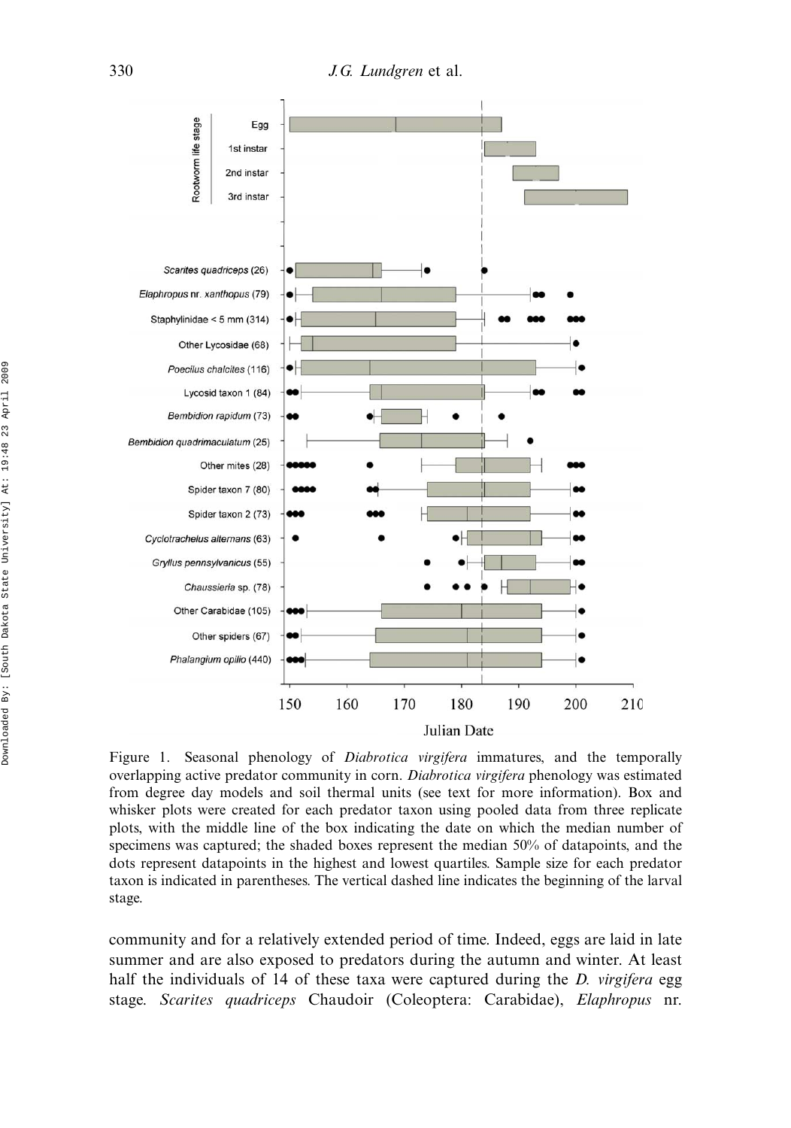330 *J.G. Lundgren* et al.



Figure 1. Seasonal phenology of *Diabrotica virgifera* immatures, and the temporally overlapping active predator community in corn. Diabrotica virgifera phenology was estimated from degree day models and soil thermal units (see text for more information). Box and whisker plots were created for each predator taxon using pooled data from three replicate plots, with the middle line of the box indicating the date on which the median number of specimens was captured; the shaded boxes represent the median 50% of datapoints, and the dots represent datapoints in the highest and lowest quartiles. Sample size for each predator taxon is indicated in parentheses. The vertical dashed line indicates the beginning of the larval stage.

community and for a relatively extended period of time. Indeed, eggs are laid in late summer and are also exposed to predators during the autumn and winter. At least half the individuals of 14 of these taxa were captured during the *D. virgifera* egg stage. Scarites quadriceps Chaudoir (Coleoptera: Carabidae), Elaphropus nr.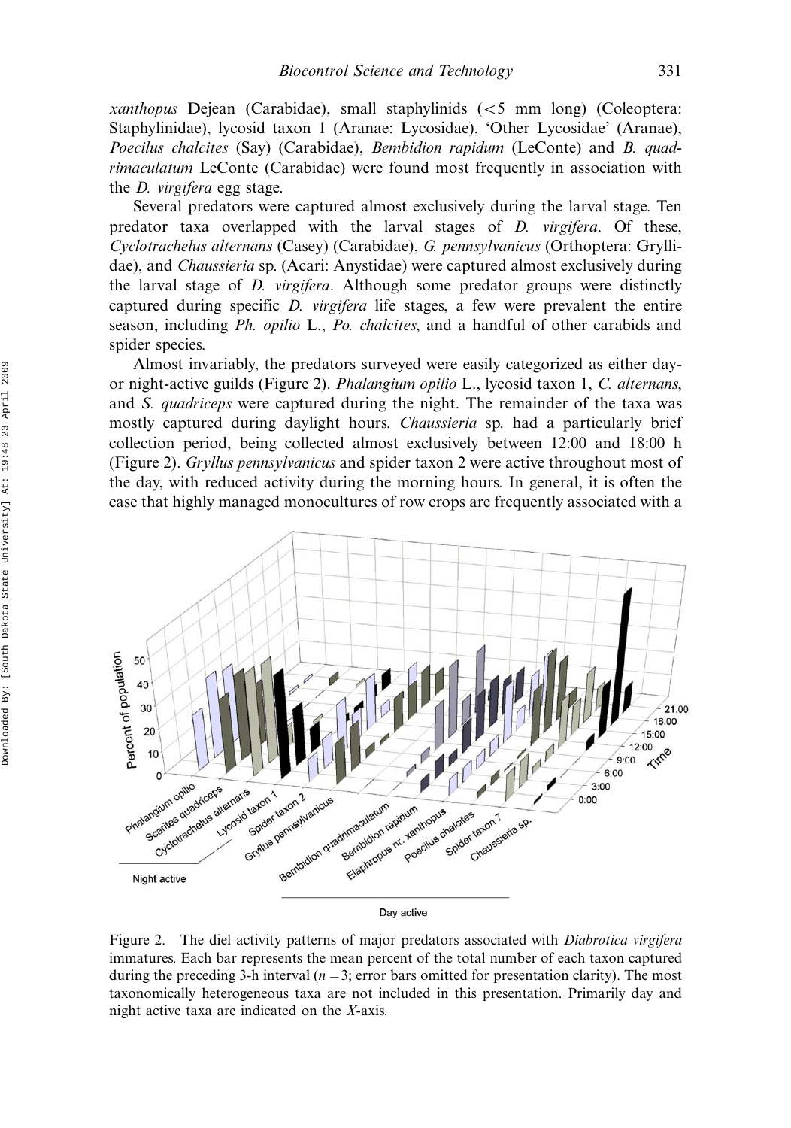xanthopus Dejean (Carabidae), small staphylinids  $\langle$  <5 mm long) (Coleoptera: Staphylinidae), lycosid taxon 1 (Aranae: Lycosidae), 'Other Lycosidae' (Aranae), Poecilus chalcites (Say) (Carabidae), Bembidion rapidum (LeConte) and B. quadrimaculatum LeConte (Carabidae) were found most frequently in association with the D. virgifera egg stage.

Several predators were captured almost exclusively during the larval stage. Ten predator taxa overlapped with the larval stages of D. virgifera. Of these, Cyclotrachelus alternans (Casey) (Carabidae), G. pennsylvanicus (Orthoptera: Gryllidae), and Chaussieria sp. (Acari: Anystidae) were captured almost exclusively during the larval stage of D. virgifera. Although some predator groups were distinctly captured during specific D. virgifera life stages, a few were prevalent the entire season, including Ph. opilio L., Po. chalcites, and a handful of other carabids and spider species.

Almost invariably, the predators surveyed were easily categorized as either dayor night-active guilds (Figure 2). Phalangium opilio L., lycosid taxon 1, C. alternans, and S. quadriceps were captured during the night. The remainder of the taxa was mostly captured during daylight hours. Chaussieria sp. had a particularly brief collection period, being collected almost exclusively between 12:00 and 18:00 h (Figure 2). Gryllus pennsylvanicus and spider taxon 2 were active throughout most of the day, with reduced activity during the morning hours. In general, it is often the case that highly managed monocultures of row crops are frequently associated with a



Figure 2. The diel activity patterns of major predators associated with *Diabrotica virgifera* immatures. Each bar represents the mean percent of the total number of each taxon captured during the preceding 3-h interval  $(n=3;$  error bars omitted for presentation clarity). The most taxonomically heterogeneous taxa are not included in this presentation. Primarily day and night active taxa are indicated on the X-axis.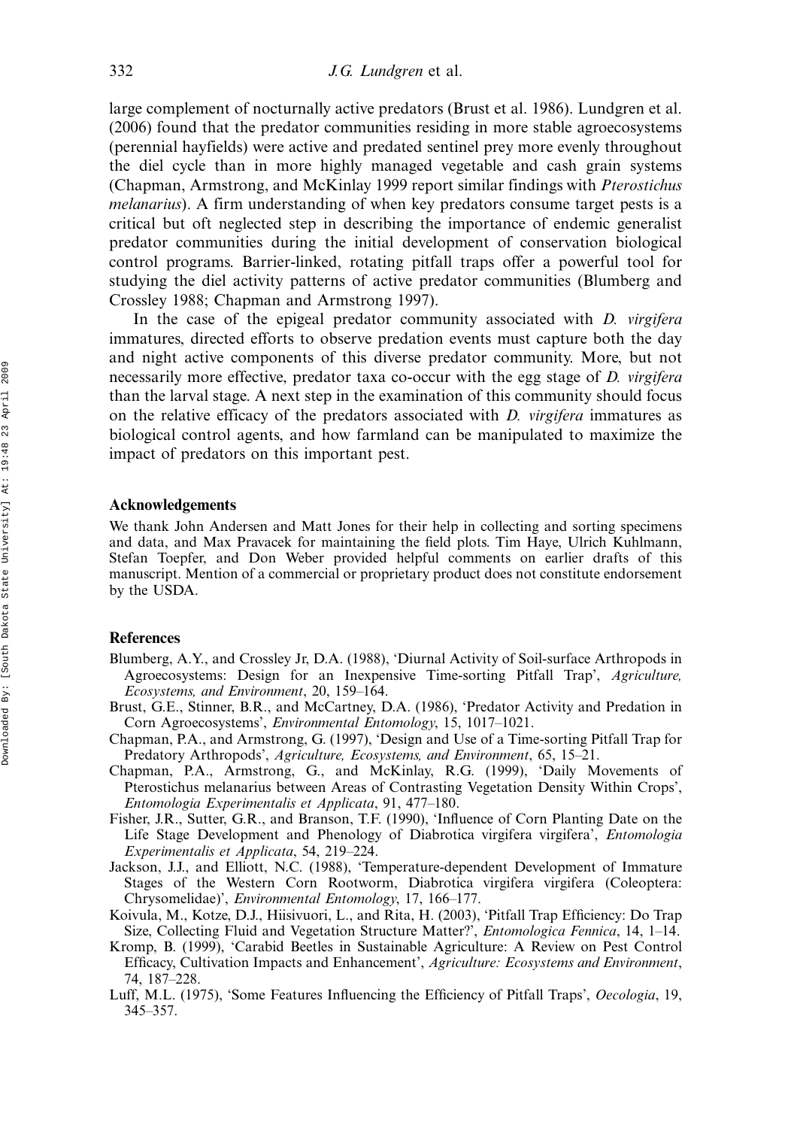large complement of nocturnally active predators (Brust et al. 1986). Lundgren et al. (2006) found that the predator communities residing in more stable agroecosystems (perennial hayfields) were active and predated sentinel prey more evenly throughout the diel cycle than in more highly managed vegetable and cash grain systems (Chapman, Armstrong, and McKinlay 1999 report similar findings with Pterostichus melanarius). A firm understanding of when key predators consume target pests is a critical but oft neglected step in describing the importance of endemic generalist predator communities during the initial development of conservation biological control programs. Barrier-linked, rotating pitfall traps offer a powerful tool for studying the diel activity patterns of active predator communities (Blumberg and Crossley 1988; Chapman and Armstrong 1997).

In the case of the epigeal predator community associated with  $D$ . *virgifera* immatures, directed efforts to observe predation events must capture both the day and night active components of this diverse predator community. More, but not necessarily more effective, predator taxa co-occur with the egg stage of D. virgifera than the larval stage. A next step in the examination of this community should focus on the relative efficacy of the predators associated with  $D$ . *virgifera* immatures as biological control agents, and how farmland can be manipulated to maximize the impact of predators on this important pest.

#### Acknowledgements

We thank John Andersen and Matt Jones for their help in collecting and sorting specimens and data, and Max Pravacek for maintaining the field plots. Tim Haye, Ulrich Kuhlmann, Stefan Toepfer, and Don Weber provided helpful comments on earlier drafts of this manuscript. Mention of a commercial or proprietary product does not constitute endorsement by the USDA.

### References

- Blumberg, A.Y., and Crossley Jr, D.A. (1988), 'Diurnal Activity of Soil-surface Arthropods in Agroecosystems: Design for an Inexpensive Time-sorting Pitfall Trap', Agriculture, Ecosystems, and Environment, 20, 159-164.
- Brust, G.E., Stinner, B.R., and McCartney, D.A. (1986), 'Predator Activity and Predation in Corn Agroecosystems', Environmental Entomology, 15, 1017-1021.
- Chapman, P.A., and Armstrong, G. (1997), 'Design and Use of a Time-sorting Pitfall Trap for Predatory Arthropods', Agriculture, Ecosystems, and Environment, 65, 15-21.
- Chapman, P.A., Armstrong, G., and McKinlay, R.G. (1999), 'Daily Movements of Pterostichus melanarius between Areas of Contrasting Vegetation Density Within Crops', Entomologia Experimentalis et Applicata, 91, 477-180.
- Fisher, J.R., Sutter, G.R., and Branson, T.F. (1990), 'Influence of Corn Planting Date on the Life Stage Development and Phenology of Diabrotica virgifera virgifera', Entomologia Experimentalis et Applicata, 54, 219-224.
- Jackson, J.J., and Elliott, N.C. (1988), 'Temperature-dependent Development of Immature Stages of the Western Corn Rootworm, Diabrotica virgifera virgifera (Coleoptera: Chrysomelidae)', Environmental Entomology, 17, 166-177.
- Koivula, M., Kotze, D.J., Hiisivuori, L., and Rita, H. (2003), 'Pitfall Trap Efficiency: Do Trap Size, Collecting Fluid and Vegetation Structure Matter?', *Entomologica Fennica*, 14, 1-14.
- Kromp, B. (1999), 'Carabid Beetles in Sustainable Agriculture: A Review on Pest Control Efficacy, Cultivation Impacts and Enhancement', Agriculture: Ecosystems and Environment, 74, 187-228.
- Luff, M.L. (1975), 'Some Features Influencing the Efficiency of Pitfall Traps', Oecologia, 19, 345-357.